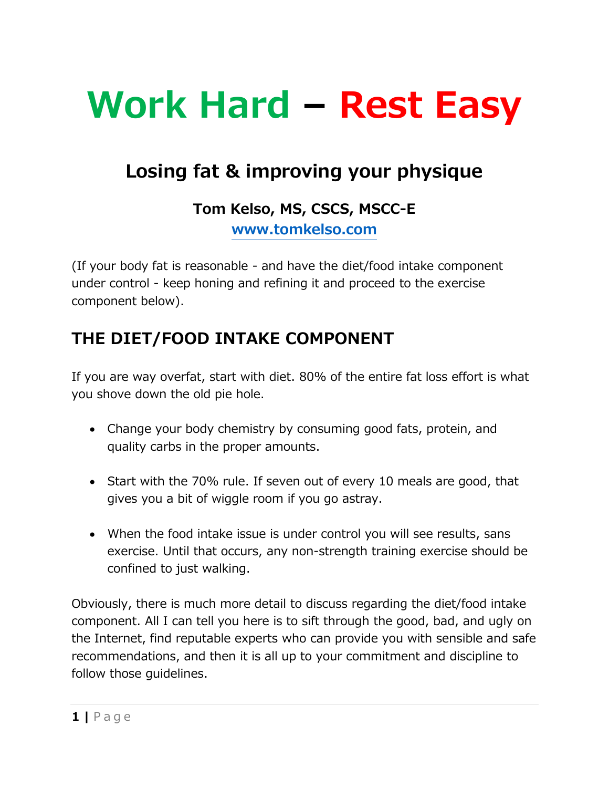# **Work Hard – Rest Easy**

## **Losing fat & improving your physique**

#### **Tom Kelso, MS, CSCS, MSCC-E [www.tomkelso.com](http://www.tomkelso.com/)**

(If your body fat is reasonable - and have the diet/food intake component under control - keep honing and refining it and proceed to the exercise component below).

### **THE DIET/FOOD INTAKE COMPONENT**

If you are way overfat, start with diet. 80% of the entire fat loss effort is what you shove down the old pie hole.

- Change your body chemistry by consuming good fats, protein, and quality carbs in the proper amounts.
- Start with the 70% rule. If seven out of every 10 meals are good, that gives you a bit of wiggle room if you go astray.
- When the food intake issue is under control you will see results, sans exercise. Until that occurs, any non-strength training exercise should be confined to just walking.

Obviously, there is much more detail to discuss regarding the diet/food intake component. All I can tell you here is to sift through the good, bad, and ugly on the Internet, find reputable experts who can provide you with sensible and safe recommendations, and then it is all up to your commitment and discipline to follow those guidelines.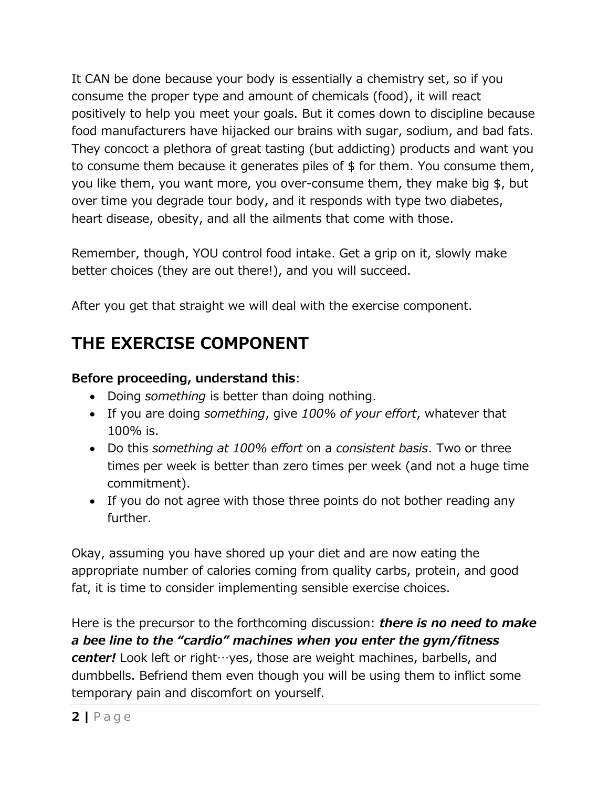It CAN be done because your body is essentially a chemistry set, so if you consume the proper type and amount of chemicals (food), it will react positively to help you meet your goals. But it comes down to discipline because food manufacturers have hijacked our brains with sugar, sodium, and bad fats. They concoct a plethora of great tasting (but addicting) products and want you to consume them because it generates piles of \$ for them. You consume them, you like them, you want more, you over-consume them, they make big \$, but over time you degrade tour body, and it responds with type two diabetes, heart disease, obesity, and all the ailments that come with those.

Remember, though, YOU control food intake. Get a grip on it, slowly make better choices (they are out there!), and you will succeed.

After you get that straight we will deal with the exercise component.

### **THE EXERCISE COMPONENT**

#### **Before proceeding, understand this**:

- Doing *something* is better than doing nothing.
- If you are doing *something*, give *100% of your effort*, whatever that 100% is.
- Do this *something at 100% effort* on a *consistent basis*. Two or three times per week is better than zero times per week (and not a huge time commitment).
- If you do not agree with those three points do not bother reading any further.

Okay, assuming you have shored up your diet and are now eating the appropriate number of calories coming from quality carbs, protein, and good fat, it is time to consider implementing sensible exercise choices.

Here is the precursor to the forthcoming discussion: *there is no need to make a bee line to the "cardio" machines when you enter the gym/fitness center!* Look left or right…yes, those are weight machines, barbells, and dumbbells. Befriend them even though you will be using them to inflict some temporary pain and discomfort on yourself.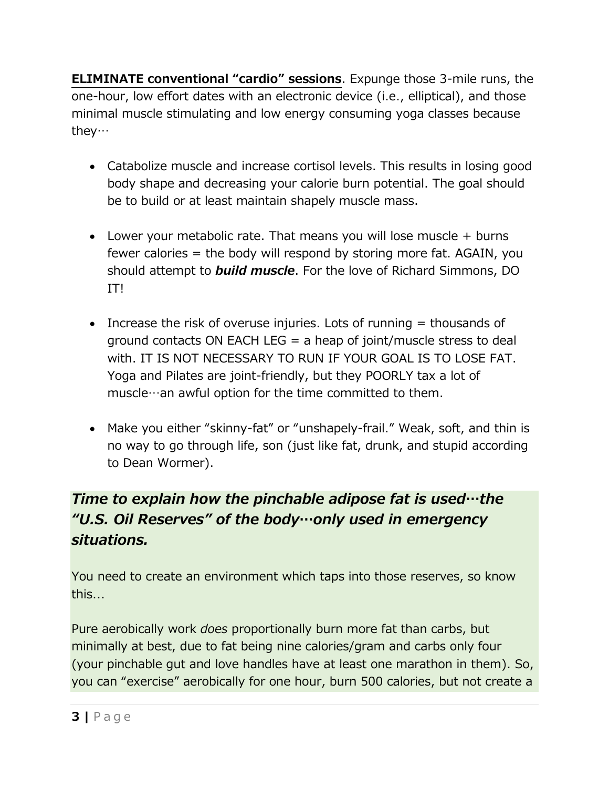**ELIMINATE conventional "cardio" sessions**. Expunge those 3-mile runs, the one-hour, low effort dates with an electronic device (i.e., elliptical), and those minimal muscle stimulating and low energy consuming yoga classes because they…

- Catabolize muscle and increase cortisol levels. This results in losing good body shape and decreasing your calorie burn potential. The goal should be to build or at least maintain shapely muscle mass.
- Lower your metabolic rate. That means you will lose muscle  $+$  burns fewer calories = the body will respond by storing more fat. AGAIN, you should attempt to *build muscle*. For the love of Richard Simmons, DO IT!
- Increase the risk of overuse injuries. Lots of running  $=$  thousands of ground contacts ON EACH LEG  $=$  a heap of joint/muscle stress to deal with. IT IS NOT NECESSARY TO RUN IF YOUR GOAL IS TO LOSE FAT. Yoga and Pilates are joint-friendly, but they POORLY tax a lot of muscle…an awful option for the time committed to them.
- Make you either "skinny-fat" or "unshapely-frail." Weak, soft, and thin is no way to go through life, son (just like fat, drunk, and stupid according to Dean Wormer).

#### *Time to explain how the pinchable adipose fat is used…the "U.S. Oil Reserves" of the body…only used in emergency situations.*

You need to create an environment which taps into those reserves, so know this...

Pure aerobically work *does* proportionally burn more fat than carbs, but minimally at best, due to fat being nine calories/gram and carbs only four (your pinchable gut and love handles have at least one marathon in them). So, you can "exercise" aerobically for one hour, burn 500 calories, but not create a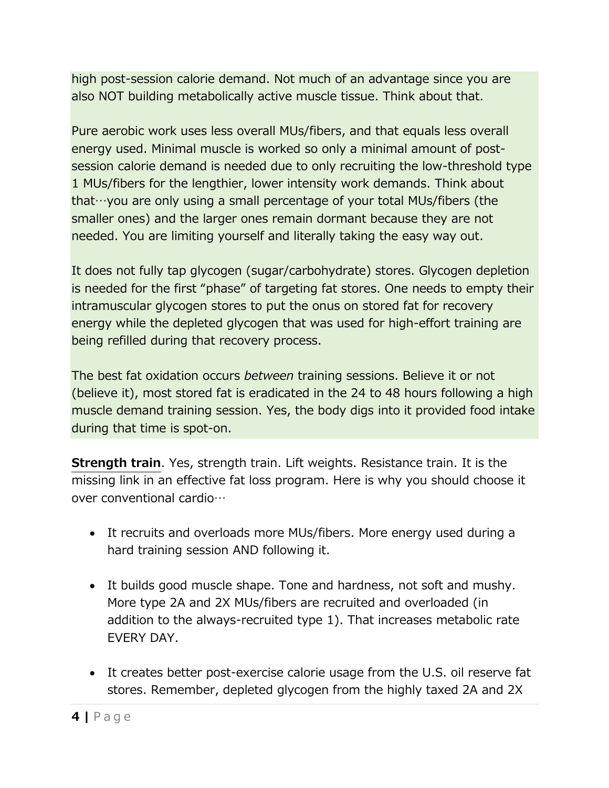high post-session calorie demand. Not much of an advantage since you are also NOT building metabolically active muscle tissue. Think about that.

Pure aerobic work uses less overall MUs/fibers, and that equals less overall energy used. Minimal muscle is worked so only a minimal amount of postsession calorie demand is needed due to only recruiting the low-threshold type 1 MUs/fibers for the lengthier, lower intensity work demands. Think about that…you are only using a small percentage of your total MUs/fibers (the smaller ones) and the larger ones remain dormant because they are not needed. You are limiting yourself and literally taking the easy way out.

It does not fully tap glycogen (sugar/carbohydrate) stores. Glycogen depletion is needed for the first "phase" of targeting fat stores. One needs to empty their intramuscular glycogen stores to put the onus on stored fat for recovery energy while the depleted glycogen that was used for high-effort training are being refilled during that recovery process.

The best fat oxidation occurs *between* training sessions. Believe it or not (believe it), most stored fat is eradicated in the 24 to 48 hours following a high muscle demand training session. Yes, the body digs into it provided food intake during that time is spot-on.

**Strength train**. Yes, strength train. Lift weights. Resistance train. It is the missing link in an effective fat loss program. Here is why you should choose it over conventional cardio…

- It recruits and overloads more MUs/fibers. More energy used during a hard training session AND following it.
- It builds good muscle shape. Tone and hardness, not soft and mushy. More type 2A and 2X MUs/fibers are recruited and overloaded (in addition to the always-recruited type 1). That increases metabolic rate EVERY DAY.
- It creates better post-exercise calorie usage from the U.S. oil reserve fat stores. Remember, depleted glycogen from the highly taxed 2A and 2X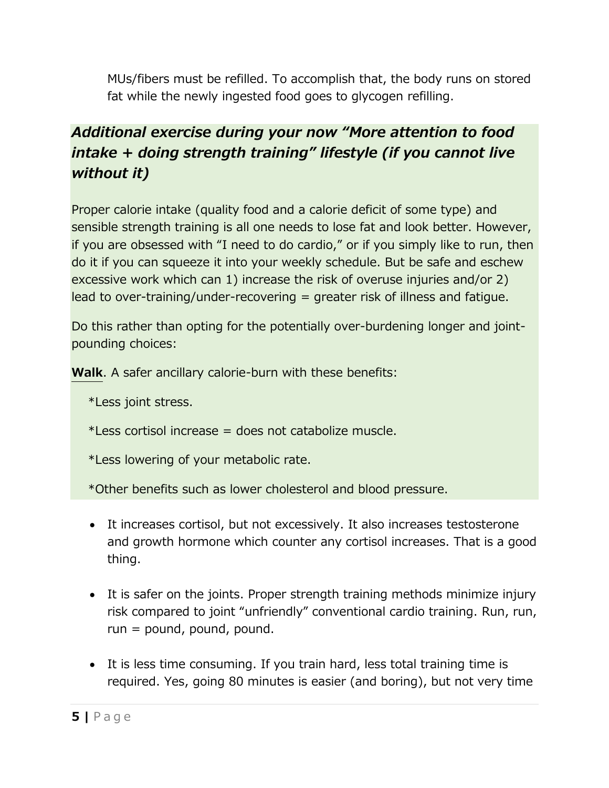MUs/fibers must be refilled. To accomplish that, the body runs on stored fat while the newly ingested food goes to glycogen refilling.

#### *Additional exercise during your now "More attention to food intake + doing strength training" lifestyle (if you cannot live without it)*

Proper calorie intake (quality food and a calorie deficit of some type) and sensible strength training is all one needs to lose fat and look better. However, if you are obsessed with "I need to do cardio," or if you simply like to run, then do it if you can squeeze it into your weekly schedule. But be safe and eschew excessive work which can 1) increase the risk of overuse injuries and/or 2) lead to over-training/under-recovering = greater risk of illness and fatigue.

Do this rather than opting for the potentially over-burdening longer and jointpounding choices:

**Walk**. A safer ancillary calorie-burn with these benefits:

- \*Less joint stress.
- \*Less cortisol increase = does not catabolize muscle.

\*Less lowering of your metabolic rate.

\*Other benefits such as lower cholesterol and blood pressure.

- It increases cortisol, but not excessively. It also increases testosterone and growth hormone which counter any cortisol increases. That is a good thing.
- It is safer on the joints. Proper strength training methods minimize injury risk compared to joint "unfriendly" conventional cardio training. Run, run, run = pound, pound, pound.
- It is less time consuming. If you train hard, less total training time is required. Yes, going 80 minutes is easier (and boring), but not very time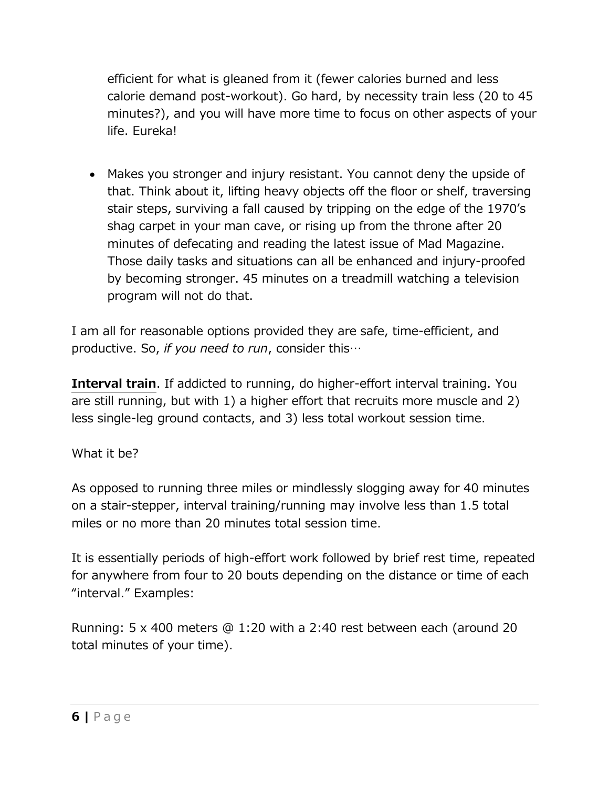efficient for what is gleaned from it (fewer calories burned and less calorie demand post-workout). Go hard, by necessity train less (20 to 45 minutes?), and you will have more time to focus on other aspects of your life. Eureka!

• Makes you stronger and injury resistant. You cannot deny the upside of that. Think about it, lifting heavy objects off the floor or shelf, traversing stair steps, surviving a fall caused by tripping on the edge of the 1970's shag carpet in your man cave, or rising up from the throne after 20 minutes of defecating and reading the latest issue of Mad Magazine. Those daily tasks and situations can all be enhanced and injury-proofed by becoming stronger. 45 minutes on a treadmill watching a television program will not do that.

I am all for reasonable options provided they are safe, time-efficient, and productive. So, *if you need to run*, consider this…

**Interval train**. If addicted to running, do higher-effort interval training. You are still running, but with 1) a higher effort that recruits more muscle and 2) less single-leg ground contacts, and 3) less total workout session time.

What it be?

As opposed to running three miles or mindlessly slogging away for 40 minutes on a stair-stepper, interval training/running may involve less than 1.5 total miles or no more than 20 minutes total session time.

It is essentially periods of high-effort work followed by brief rest time, repeated for anywhere from four to 20 bouts depending on the distance or time of each "interval." Examples:

Running: 5 x 400 meters @ 1:20 with a 2:40 rest between each (around 20 total minutes of your time).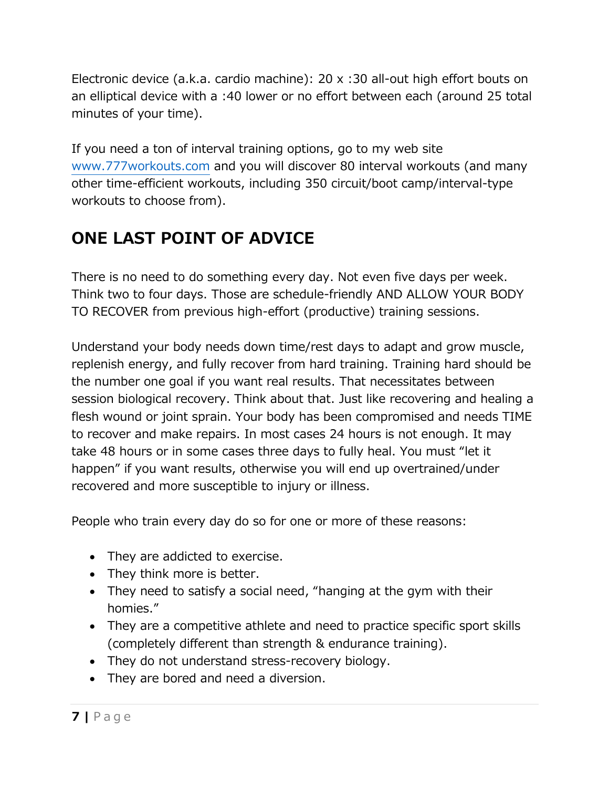Electronic device (a.k.a. cardio machine): 20 x :30 all-out high effort bouts on an elliptical device with a :40 lower or no effort between each (around 25 total minutes of your time).

If you need a ton of interval training options, go to my web site [www.777workouts.com](http://www.777workouts.com/) and you will discover 80 interval workouts (and many other time-efficient workouts, including 350 circuit/boot camp/interval-type workouts to choose from).

## **ONE LAST POINT OF ADVICE**

There is no need to do something every day. Not even five days per week. Think two to four days. Those are schedule-friendly AND ALLOW YOUR BODY TO RECOVER from previous high-effort (productive) training sessions.

Understand your body needs down time/rest days to adapt and grow muscle, replenish energy, and fully recover from hard training. Training hard should be the number one goal if you want real results. That necessitates between session biological recovery. Think about that. Just like recovering and healing a flesh wound or joint sprain. Your body has been compromised and needs TIME to recover and make repairs. In most cases 24 hours is not enough. It may take 48 hours or in some cases three days to fully heal. You must "let it happen" if you want results, otherwise you will end up overtrained/under recovered and more susceptible to injury or illness.

People who train every day do so for one or more of these reasons:

- They are addicted to exercise.
- They think more is better.
- They need to satisfy a social need, "hanging at the gym with their homies."
- They are a competitive athlete and need to practice specific sport skills (completely different than strength & endurance training).
- They do not understand stress-recovery biology.
- They are bored and need a diversion.